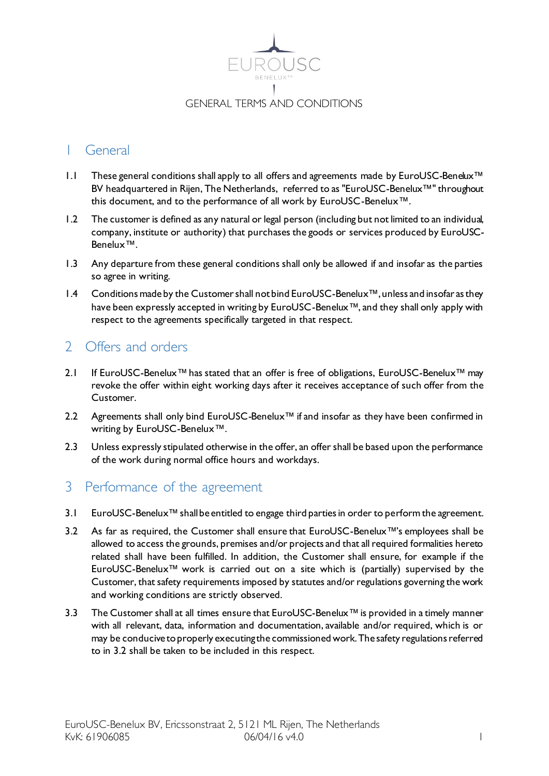

#### 1 General

- 1.1 These general conditions shall apply to all offers and agreements made by EuroUSC-Benelux<sup>™</sup> BV headquartered in Rijen, The Netherlands, referred to as "EuroUSC-Benelux™" throughout this document, and to the performance of all work by EuroUSC-Benelux™.
- 1.2 The customer is defined as any natural or legal person (including but not limited to an individual, company, institute or authority) that purchases the goods or services produced by EuroUSC-Benelux™.
- 1.3 Any departure from these general conditions shall only be allowed if and insofar as the parties so agree in writing.
- 1.4 Conditions made by the Customer shall not bind EuroUSC-Benelux<sup>™</sup>, unless and insofar as they have been expressly accepted in writing by EuroUSC-Benelux<sup>™</sup>, and they shall only apply with respect to the agreements specifically targeted in that respect.

## 2 Offers and orders

- 2.1 If EuroUSC-Benelux<sup>™</sup> has stated that an offer is free of obligations, EuroUSC-Benelux<sup>™</sup> may revoke the offer within eight working days after it receives acceptance of such offer from the Customer.
- 2.2 Agreements shall only bind EuroUSC-Benelux<sup>™</sup> if and insofar as they have been confirmed in writing by EuroUSC-Benelux™.
- 2.3 Unless expressly stipulated otherwise in the offer, an offer shall be based upon the performance of the work during normal office hours and workdays.

### 3 Performance of the agreement

- 3.1 EuroUSC-Benelux<sup>™</sup> shall be entitled to engage third parties in order to perform the agreement.
- 3.2 As far as required, the Customer shall ensure that EuroUSC-Benelux™'s employees shall be allowed to access the grounds, premises and/or projects and that all required formalities hereto related shall have been fulfilled. In addition, the Customer shall ensure, for example if the EuroUSC-Benelux™ work is carried out on a site which is (partially) supervised by the Customer, that safety requirements imposed by statutes and/or regulations governing the work and working conditions are strictly observed.
- 3.3 The Customer shall at all times ensure that EuroUSC-Benelux™ is provided in a timely manner with all relevant, data, information and documentation, available and/or required, which is or may be conducive to properly executing the commissioned work. The safety regulations referred to in 3.2 shall be taken to be included in this respect.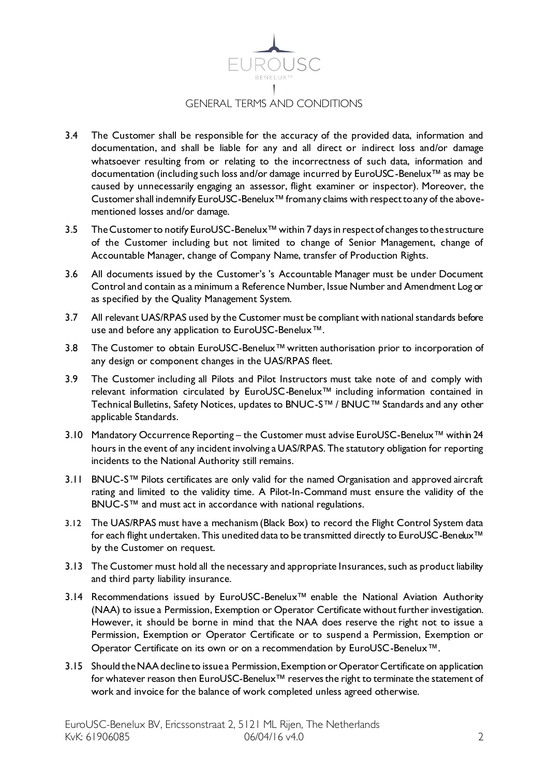

- 3.4 The Customer shall be responsible for the accuracy of the provided data, information and documentation, and shall be liable for any and all direct or indirect loss and/or damage whatsoever resulting from or relating to the incorrectness of such data, information and documentation (including such loss and/or damage incurred by EuroUSC-Benelux™ as may be caused by unnecessarily engaging an assessor, flight examiner or inspector). Moreover, the Customer shall indemnify EuroUSC-Benelux<sup>™</sup> from any claims with respect to any of the abovementioned losses and/or damage.
- 3.5 The Customer to notify EuroUSC-Benelux<sup>™</sup> within 7 days in respect of changes to the structure of the Customer including but not limited to change of Senior Management, change of Accountable Manager, change of Company Name, transfer of Production Rights.
- 3.6 All documents issued by the Customer's 's Accountable Manager must be under Document Control and contain as a minimum a Reference Number, Issue Number and Amendment Log or as specified by the Quality Management System.
- 3.7 All relevant UAS/RPAS used by the Customer must be compliant with national standards before use and before any application to EuroUSC-Benelux™.
- 3.8 The Customer to obtain EuroUSC-Benelux™ written authorisation prior to incorporation of any design or component changes in the UAS/RPAS fleet.
- 3.9 The Customer including all Pilots and Pilot Instructors must take note of and comply with relevant information circulated by EuroUSC-Benelux™ including information contained in Technical Bulletins, Safety Notices, updates to BNUC-S™ / BNUC™ Standards and any other applicable Standards.
- 3.10 Mandatory Occurrence Reporting the Customer must advise EuroUSC-Benelux<sup>™</sup> within 24 hours in the event of any incident involving a UAS/RPAS. The statutory obligation for reporting incidents to the National Authority still remains.
- 3.11 BNUC-S™ Pilots certificates are only valid for the named Organisation and approved aircraft rating and limited to the validity time. A Pilot-In-Command must ensure the validity of the BNUC-S™ and must act in accordance with national regulations.
- 3.12 The UAS/RPAS must have a mechanism (Black Box) to record the Flight Control System data for each flight undertaken. This unedited data to be transmitted directly to EuroUSC-Benelux<sup>™</sup> by the Customer on request.
- 3.13 The Customer must hold all the necessary and appropriate Insurances, such as product liability and third party liability insurance.
- 3.14 Recommendations issued by EuroUSC-Benelux™ enable the National Aviation Authority (NAA) to issue a Permission, Exemption or Operator Certificate without further investigation. However, it should be borne in mind that the NAA does reserve the right not to issue a Permission, Exemption or Operator Certificate or to suspend a Permission, Exemption or Operator Certificate on its own or on a recommendation by EuroUSC-Benelux™.
- 3.15 Should the NAA decline to issue a Permission, Exemption or Operator Certificate on application for whatever reason then EuroUSC-Benelux™ reserves the right to terminate the statement of work and invoice for the balance of work completed unless agreed otherwise.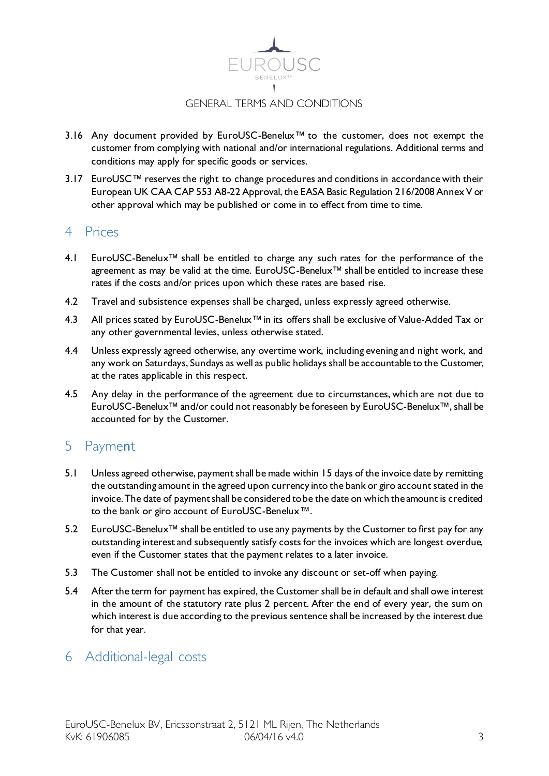

- 3.16 Any document provided by EuroUSC-Benelux™ to the customer, does not exempt the customer from complying with national and/or international regulations. Additional terms and conditions may apply for specific goods or services.
- 3.17 EuroUSC™ reserves the right to change procedures and conditions in accordance with their European UK CAA CAP 553 A8-22 Approval, the EASA Basic Regulation 216/2008 Annex V or other approval which may be published or come in to effect from time to time.

#### 4 Prices

- 4.1 EuroUSC-Benelux™ shall be entitled to charge any such rates for the performance of the agreement as may be valid at the time. EuroUSC-Benelux™ shall be entitled to increase these rates if the costs and/or prices upon which these rates are based rise.
- 4.2 Travel and subsistence expenses shall be charged, unless expressly agreed otherwise.
- 4.3 All prices stated by EuroUSC-Benelux<sup>™</sup> in its offers shall be exclusive of Value-Added Tax or any other governmental levies, unless otherwise stated.
- 4.4 Unless expressly agreed otherwise, any overtime work, including evening and night work, and any work on Saturdays, Sundays as well as public holidays shall be accountable to the Customer, at the rates applicable in this respect.
- 4.5 Any delay in the performance of the agreement due to circumstances, which are not due to EuroUSC-Benelux™ and/or could not reasonably be foreseen by EuroUSC-Benelux™, shall be accounted for by the Customer.

### 5 Payment

- 5.1 Unless agreed otherwise, payment shall be made within 15 days of the invoice date by remitting the outstanding amount in the agreed upon currency into the bank or giro account stated in the invoice. The date of payment shall be considered to be the date on which the amount is credited to the bank or giro account of EuroUSC-Benelux™.
- 5.2 EuroUSC-Benelux™ shall be entitled to use any payments by the Customer to first pay for any outstanding interest and subsequently satisfy costs for the invoices which are longest overdue, even if the Customer states that the payment relates to a later invoice.
- 5.3 The Customer shall not be entitled to invoke any discount or set-off when paying.
- 5.4 After the term for payment has expired, the Customer shall be in default and shall owe interest in the amount of the statutory rate plus 2 percent. After the end of every year, the sum on which interest is due according to the previous sentence shall be increased by the interest due for that year.

#### 6 Additional-legal costs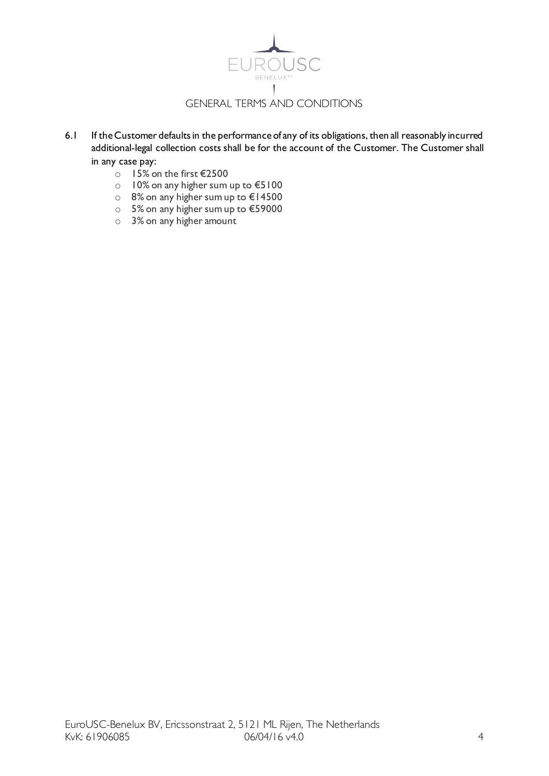

- 6.1 If the Customer defaults in the performance of any of its obligations, then all reasonably incurred additional-legal collection costs shall be for the account of the Customer. The Customer shall in any case pay:
	- o 15% on the first €2500
	- o 10% on any higher sum up to €5100
	- o 8% on any higher sum up to €14500
	- o 5% on any higher sum up to €59000
	- o 3% on any higher amount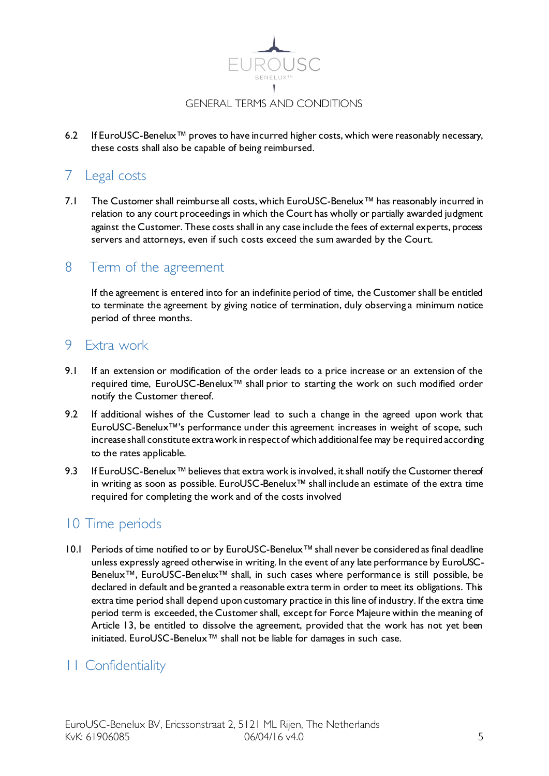

6.2 If EuroUSC-Benelux<sup>™</sup> proves to have incurred higher costs, which were reasonably necessary, these costs shall also be capable of being reimbursed.

## 7 Legal costs

7.1 The Customer shall reimburse all costs, which EuroUSC-Benelux™ has reasonably incurred in relation to any court proceedings in which the Court has wholly or partially awarded judgment against the Customer. These costs shall in any case include the fees of external experts, process servers and attorneys, even if such costs exceed the sum awarded by the Court.

### 8 Term of the agreement

If the agreement is entered into for an indefinite period of time, the Customer shall be entitled to terminate the agreement by giving notice of termination, duly observing a minimum notice period of three months.

#### 9 Extra work

- 9.1 If an extension or modification of the order leads to a price increase or an extension of the required time, EuroUSC-Benelux™ shall prior to starting the work on such modified order notify the Customer thereof.
- 9.2 If additional wishes of the Customer lead to such a change in the agreed upon work that EuroUSC-Benelux™'s performance under this agreement increases in weight of scope, such increase shall constitute extra work in respect of which additional fee may be required according to the rates applicable.
- 9.3 If EuroUSC-Benelux<sup>™</sup> believes that extra work is involved, it shall notify the Customer thereof in writing as soon as possible. EuroUSC-Benelux™ shall include an estimate of the extra time required for completing the work and of the costs involved

#### 10 Time periods

10.1 Periods of time notified to or by EuroUSC-Benelux™ shall never be considered as final deadline unless expressly agreed otherwise in writing. In the event of any late performance by EuroUSC-Benelux<sup>™</sup>, EuroUSC-Benelux<sup>™</sup> shall, in such cases where performance is still possible, be declared in default and be granted a reasonable extra term in order to meet its obligations. This extra time period shall depend upon customary practice in this line of industry. If the extra time period term is exceeded, the Customer shall, except for Force Majeure within the meaning of Article 13, be entitled to dissolve the agreement, provided that the work has not yet been initiated. EuroUSC-Benelux™ shall not be liable for damages in such case.

### 11 Confidentiality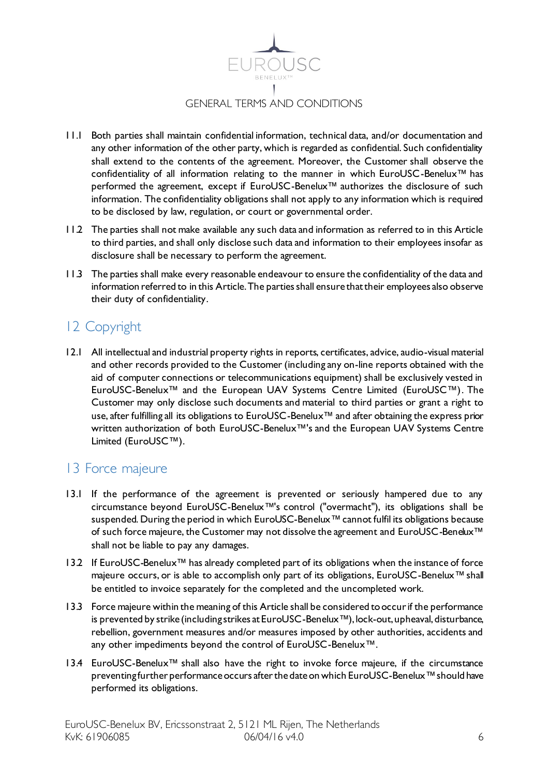

- 11.1 Both parties shall maintain confidential information, technical data, and/or documentation and any other information of the other party, which is regarded as confidential. Such confidentiality shall extend to the contents of the agreement. Moreover, the Customer shall observe the confidentiality of all information relating to the manner in which EuroUSC-Benelux™ has performed the agreement, except if EuroUSC-Benelux™ authorizes the disclosure of such information. The confidentiality obligations shall not apply to any information which is required to be disclosed by law, regulation, or court or governmental order.
- 11.2 The parties shall not make available any such data and information as referred to in this Article to third parties, and shall only disclose such data and information to their employees insofar as disclosure shall be necessary to perform the agreement.
- 11.3 The parties shall make every reasonable endeavour to ensure the confidentiality of the data and information referred to in this Article. The parties shall ensure that their employees also observe their duty of confidentiality.

# 12 Copyright

12.1 All intellectual and industrial property rights in reports, certificates, advice, audio-visual material and other records provided to the Customer (including any on-line reports obtained with the aid of computer connections or telecommunications equipment) shall be exclusively vested in EuroUSC-Benelux™ and the European UAV Systems Centre Limited (EuroUSC™). The Customer may only disclose such documents and material to third parties or grant a right to use, after fulfilling all its obligations to EuroUSC-Benelux™ and after obtaining the express prior written authorization of both EuroUSC-Benelux<sup>™'</sup>s and the European UAV Systems Centre Limited (EuroUSC™).

### 13 Force majeure

- 13.1 If the performance of the agreement is prevented or seriously hampered due to any circumstance beyond EuroUSC-Benelux™'s control ("overmacht"), its obligations shall be suspended. During the period in which EuroUSC-Benelux<sup>™</sup> cannot fulfil its obligations because of such force majeure, the Customer may not dissolve the agreement and EuroUSC-Benelux<sup>™</sup> shall not be liable to pay any damages.
- 13.2 If EuroUSC-Benelux<sup>™</sup> has already completed part of its obligations when the instance of force majeure occurs, or is able to accomplish only part of its obligations, EuroUSC-Benelux™ shall be entitled to invoice separately for the completed and the uncompleted work.
- 13.3 Force majeure within the meaning of this Article shall be considered to occur if the performance is prevented by strike (including strikes at EuroUSC-Benelux™), lock-out, upheaval, disturbance, rebellion, government measures and/or measures imposed by other authorities, accidents and any other impediments beyond the control of EuroUSC-Benelux™.
- 13.4 EuroUSC-Benelux™ shall also have the right to invoke force majeure, if the circumstance preventing further performance occurs after the date on which EuroUSC-Benelux<sup>™</sup> should have performed its obligations.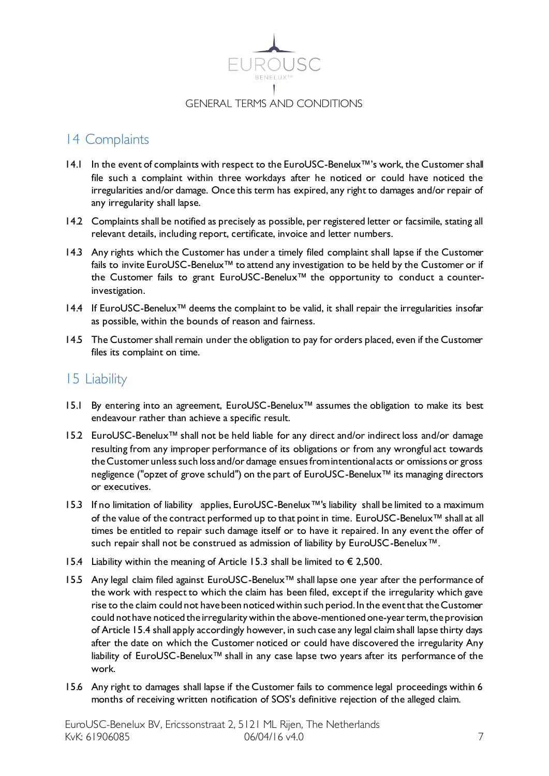

### 14 Complaints

- 14.1 In the event of complaints with respect to the EuroUSC-Benelux™'s work, the Customer shall file such a complaint within three workdays after he noticed or could have noticed the irregularities and/or damage. Once this term has expired, any right to damages and/or repair of any irregularity shall lapse.
- 14.2 Complaints shall be notified as precisely as possible, per registered letter or facsimile, stating all relevant details, including report, certificate, invoice and letter numbers.
- 14.3 Any rights which the Customer has under a timely filed complaint shall lapse if the Customer fails to invite EuroUSC-Benelux<sup>™</sup> to attend any investigation to be held by the Customer or if the Customer fails to grant EuroUSC-Benelux<sup>™</sup> the opportunity to conduct a counterinvestigation.
- 14.4 If EuroUSC-Benelux<sup>™</sup> deems the complaint to be valid, it shall repair the irregularities insofar as possible, within the bounds of reason and fairness.
- 14.5 The Customer shall remain under the obligation to pay for orders placed, even if the Customer files its complaint on time.

## 15 Liability

- 15.1 By entering into an agreement, EuroUSC-Benelux™ assumes the obligation to make its best endeavour rather than achieve a specific result.
- 15.2 EuroUSC-Benelux™ shall not be held liable for any direct and/or indirect loss and/or damage resulting from any improper performance of its obligations or from any wrongful act towards the Customer unless such loss and/or damage ensues from intentional acts or omissions or gross negligence ("opzet of grove schuld") on the part of EuroUSC-Benelux™ its managing directors or executives.
- 15.3 If no limitation of liability applies, EuroUSC-Benelux™'s liability shall be limited to a maximum of the value of the contract performed up to that point in time. EuroUSC-Benelux™ shall at all times be entitled to repair such damage itself or to have it repaired. In any event the offer of such repair shall not be construed as admission of liability by EuroUSC-Benelux<sup>™</sup>.
- 15.4 Liability within the meaning of Article 15.3 shall be limited to  $\epsilon$  2,500.
- 15.5 Any legal claim filed against EuroUSC-Benelux™ shall lapse one year after the performance of the work with respect to which the claim has been filed, except if the irregularity which gave rise to the claim could not have been noticed within such period. In the event that the Customer could not have noticed the irregularity within the above-mentioned one-year term, the provision of Article 15.4 shall apply accordingly however, in such case any legal claim shall lapse thirty days after the date on which the Customer noticed or could have discovered the irregularity Any liability of EuroUSC-Benelux™ shall in any case lapse two years after its performance of the work.
- 15.6 Any right to damages shall lapse if the Customer fails to commence legal proceedings within 6 months of receiving written notification of SOS's definitive rejection of the alleged claim.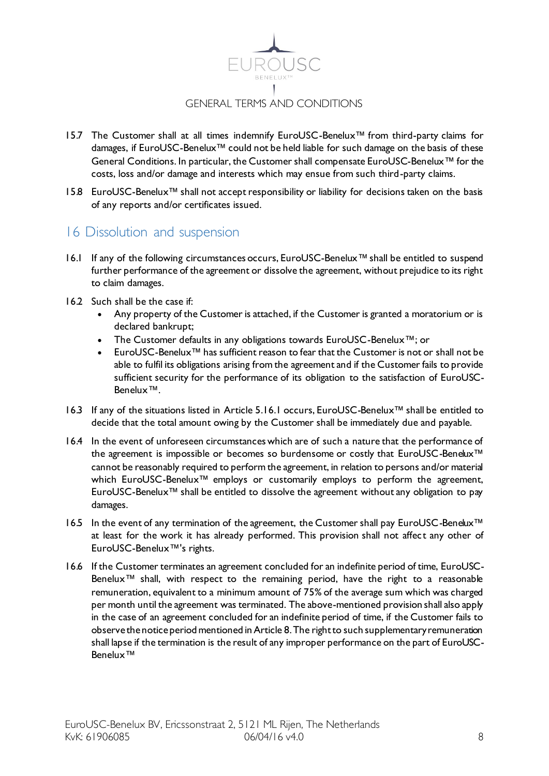

- 15.7 The Customer shall at all times indemnify EuroUSC-Benelux™ from third-party claims for damages, if EuroUSC-Benelux<sup>™</sup> could not be held liable for such damage on the basis of these General Conditions. In particular, the Customer shall compensate EuroUSC-Benelux<sup>™</sup> for the costs, loss and/or damage and interests which may ensue from such third-party claims.
- 15.8 EuroUSC-Benelux™ shall not accept responsibility or liability for decisions taken on the basis of any reports and/or certificates issued.

### 16 Dissolution and suspension

- 16.1 If any of the following circumstances occurs, EuroUSC-Benelux™ shall be entitled to suspend further performance of the agreement or dissolve the agreement, without prejudice to its right to claim damages.
- 16.2 Such shall be the case if:
	- Any property of the Customer is attached, if the Customer is granted a moratorium or is declared bankrupt;
	- The Customer defaults in any obligations towards EuroUSC-Benelux™; or
	- EuroUSC-Benelux™ has sufficient reason to fear that the Customer is not or shall not be able to fulfil its obligations arising from the agreement and if the Customer fails to provide sufficient security for the performance of its obligation to the satisfaction of EuroUSC-Benelux™.
- 16.3 If any of the situations listed in Article 5.16.1 occurs, EuroUSC-Benelux™ shall be entitled to decide that the total amount owing by the Customer shall be immediately due and payable.
- 16.4 In the event of unforeseen circumstances which are of such a nature that the performance of the agreement is impossible or becomes so burdensome or costly that EuroUSC-Benelux<sup>™</sup> cannot be reasonably required to perform the agreement, in relation to persons and/or material which EuroUSC-Benelux<sup>™</sup> employs or customarily employs to perform the agreement, EuroUSC-Benelux™ shall be entitled to dissolve the agreement without any obligation to pay damages.
- 16.5 In the event of any termination of the agreement, the Customer shall pay EuroUSC-Benelux<sup>™</sup> at least for the work it has already performed. This provision shall not affect any other of EuroUSC-Benelux™'s rights.
- 16.6 If the Customer terminates an agreement concluded for an indefinite period of time, EuroUSC-Benelux<sup>™</sup> shall, with respect to the remaining period, have the right to a reasonable remuneration, equivalent to a minimum amount of 75% of the average sum which was charged per month until the agreement was terminated. The above-mentioned provision shall also apply in the case of an agreement concluded for an indefinite period of time, if the Customer fails to observe the notice period mentioned in Article 8. The right to such supplementary remuneration shall lapse if the termination is the result of any improper performance on the part of EuroUSC-Benelux™